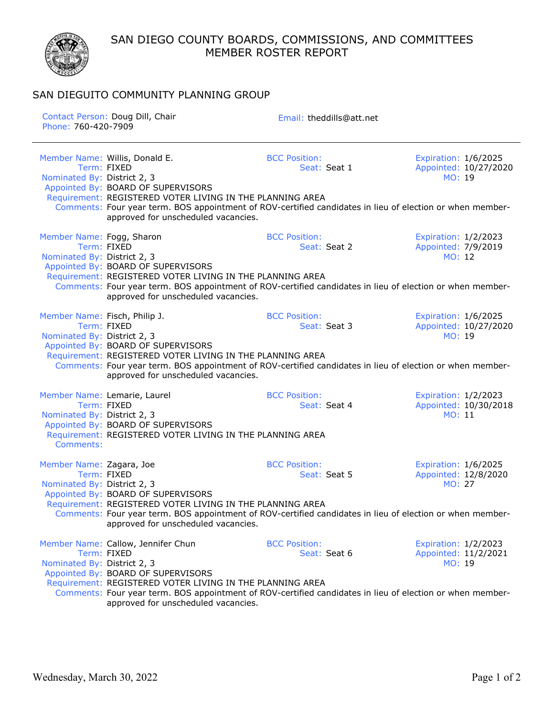SAN DIEGO COUNTY BOARDS, COMMISSIONS, AND COMMITTEES MEMBER ROSTER REPORT



## SAN DIEGUITO COMMUNITY PLANNING GROUP

| Phone: 760-420-7909                                          | Contact Person: Doug Dill, Chair                                                                                                                                                                                                                                                                         | Email: theddills@att.net             |                                                               |
|--------------------------------------------------------------|----------------------------------------------------------------------------------------------------------------------------------------------------------------------------------------------------------------------------------------------------------------------------------------------------------|--------------------------------------|---------------------------------------------------------------|
| Nominated By: District 2, 3                                  | Member Name: Willis, Donald E.<br>Term: FIXED<br>Appointed By: BOARD OF SUPERVISORS<br>Requirement: REGISTERED VOTER LIVING IN THE PLANNING AREA<br>Comments: Four year term. BOS appointment of ROV-certified candidates in lieu of election or when member-<br>approved for unscheduled vacancies.     | <b>BCC Position:</b><br>Seat: Seat 1 | Expiration: 1/6/2025<br>Appointed: 10/27/2020<br>MO: 19       |
| Member Name: Fogg, Sharon<br>Nominated By: District 2, 3     | Term: FIXED<br>Appointed By: BOARD OF SUPERVISORS<br>Requirement: REGISTERED VOTER LIVING IN THE PLANNING AREA<br>Comments: Four year term. BOS appointment of ROV-certified candidates in lieu of election or when member-<br>approved for unscheduled vacancies.                                       | <b>BCC Position:</b><br>Seat: Seat 2 | Expiration: 1/2/2023<br>Appointed: 7/9/2019<br>MO: 12         |
| Member Name: Fisch, Philip J.<br>Nominated By: District 2, 3 | Term: FIXED<br>Appointed By: BOARD OF SUPERVISORS<br>Requirement: REGISTERED VOTER LIVING IN THE PLANNING AREA<br>Comments: Four year term. BOS appointment of ROV-certified candidates in lieu of election or when member-<br>approved for unscheduled vacancies.                                       | <b>BCC Position:</b><br>Seat: Seat 3 | Expiration: 1/6/2025<br>Appointed: 10/27/2020<br>MO: 19       |
| Nominated By: District 2, 3<br>Comments:                     | Member Name: Lemarie, Laurel<br>Term: FIXED<br>Appointed By: BOARD OF SUPERVISORS<br>Requirement: REGISTERED VOTER LIVING IN THE PLANNING AREA                                                                                                                                                           | <b>BCC Position:</b><br>Seat: Seat 4 | Expiration: 1/2/2023<br>Appointed: 10/30/2018<br>MO: 11       |
| Member Name: Zagara, Joe<br>Nominated By: District 2, 3      | Term: FIXED<br>Appointed By: BOARD OF SUPERVISORS<br>Requirement: REGISTERED VOTER LIVING IN THE PLANNING AREA<br>Comments: Four year term. BOS appointment of ROV-certified candidates in lieu of election or when member-<br>approved for unscheduled vacancies.                                       | <b>BCC Position:</b><br>Seat: Seat 5 | Expiration: 1/6/2025<br>Appointed: 12/8/2020<br><b>MO: 27</b> |
| Nominated By: District 2, 3                                  | Member Name: Callow, Jennifer Chun<br>Term: FIXED<br>Appointed By: BOARD OF SUPERVISORS<br>Requirement: REGISTERED VOTER LIVING IN THE PLANNING AREA<br>Comments: Four year term. BOS appointment of ROV-certified candidates in lieu of election or when member-<br>approved for unscheduled vacancies. | <b>BCC Position:</b><br>Seat: Seat 6 | Expiration: 1/2/2023<br>Appointed: 11/2/2021<br>MO: 19        |